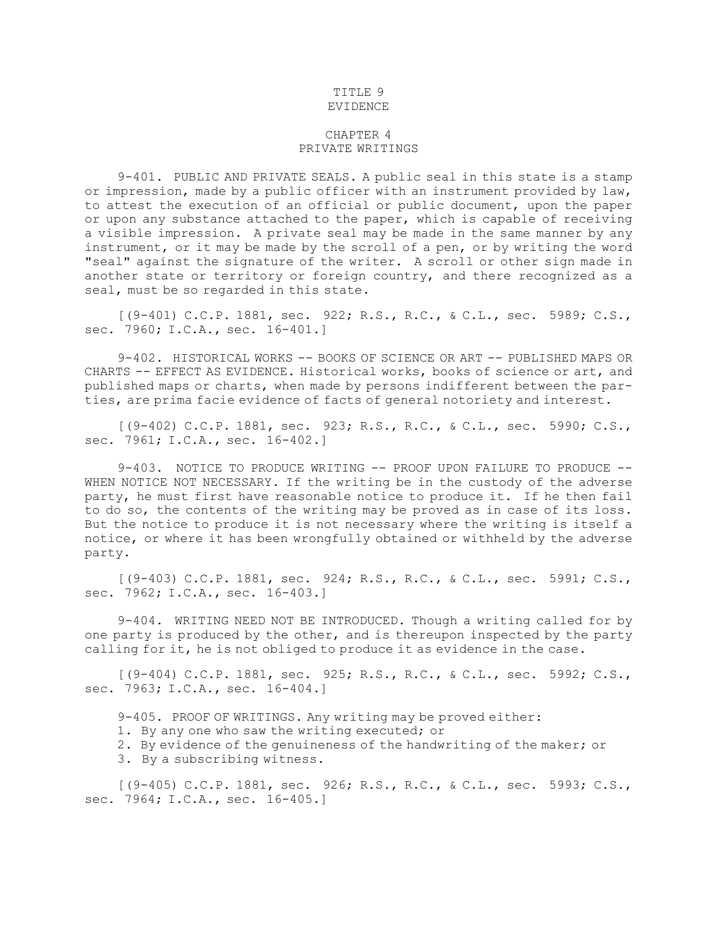## TITLE 9 EVIDENCE

## CHAPTER 4 PRIVATE WRITINGS

9-401. PUBLIC AND PRIVATE SEALS. <sup>A</sup> public seal in this state is <sup>a</sup> stamp or impression, made by <sup>a</sup> public officer with an instrument provided by law, to attest the execution of an official or public document, upon the paper or upon any substance attached to the paper, which is capable of receiving <sup>a</sup> visible impression. <sup>A</sup> private seal may be made in the same manner by any instrument, or it may be made by the scroll of <sup>a</sup> pen, or by writing the word "seal" against the signature of the writer. <sup>A</sup> scroll or other sign made in another state or territory or foreign country, and there recognized as <sup>a</sup> seal, must be so regarded in this state.

[(9-401) C.C.P. 1881, sec. 922; R.S., R.C., & C.L., sec. 5989; C.S., sec. 7960; I.C.A., sec. 16-401.]

9-402. HISTORICAL WORKS -- BOOKS OF SCIENCE OR ART -- PUBLISHED MAPS OR CHARTS -- EFFECT AS EVIDENCE. Historical works, books of science or art, and published maps or charts, when made by persons indifferent between the parties, are prima facie evidence of facts of general notoriety and interest.

[(9-402) C.C.P. 1881, sec. 923; R.S., R.C., & C.L., sec. 5990; C.S., sec. 7961; I.C.A., sec. 16-402.]

9-403. NOTICE TO PRODUCE WRITING -- PROOF UPON FAILURE TO PRODUCE -- WHEN NOTICE NOT NECESSARY. If the writing be in the custody of the adverse party, he must first have reasonable notice to produce it. If he then fail to do so, the contents of the writing may be proved as in case of its loss. But the notice to produce it is not necessary where the writing is itself <sup>a</sup> notice, or where it has been wrongfully obtained or withheld by the adverse party.

[(9-403) C.C.P. 1881, sec. 924; R.S., R.C., & C.L., sec. 5991; C.S., sec. 7962; I.C.A., sec. 16-403.]

9-404. WRITING NEED NOT BE INTRODUCED. Though <sup>a</sup> writing called for by one party is produced by the other, and is thereupon inspected by the party calling for it, he is not obliged to produce it as evidence in the case.

[(9-404) C.C.P. 1881, sec. 925; R.S., R.C., & C.L., sec. 5992; C.S., sec. 7963; I.C.A., sec. 16-404.]

9-405. PROOF OF WRITINGS. Any writing may be proved either:

1. By any one who saw the writing executed; or

2. By evidence of the genuineness of the handwriting of the maker; or

3. By <sup>a</sup> subscribing witness.

[(9-405) C.C.P. 1881, sec. 926; R.S., R.C., & C.L., sec. 5993; C.S., sec. 7964; I.C.A., sec. 16-405.]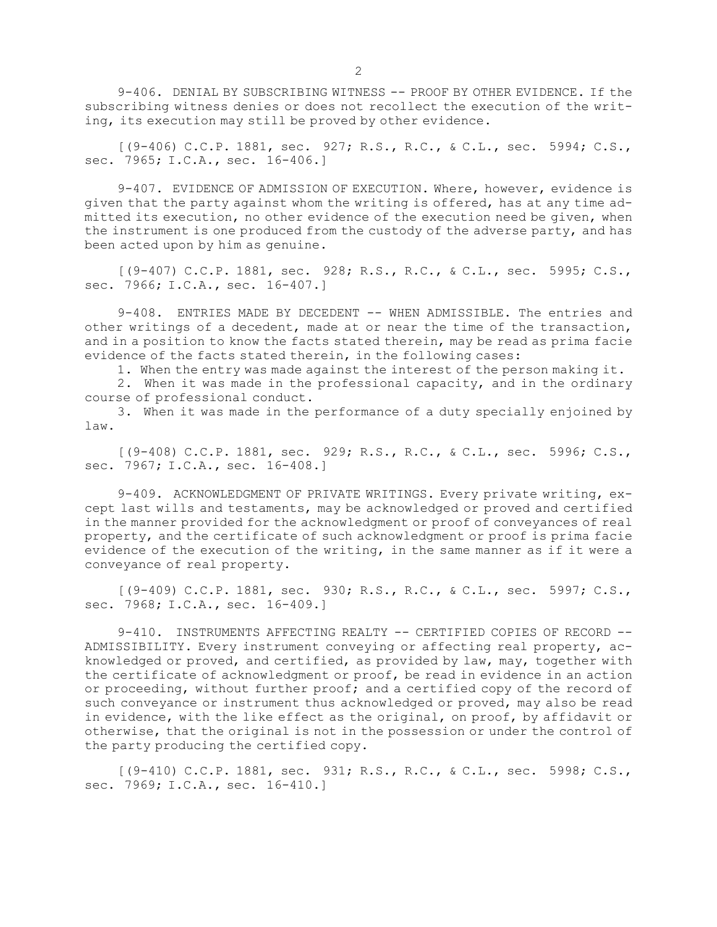9-406. DENIAL BY SUBSCRIBING WITNESS -- PROOF BY OTHER EVIDENCE. If the subscribing witness denies or does not recollect the execution of the writing, its execution may still be proved by other evidence.

[(9-406) C.C.P. 1881, sec. 927; R.S., R.C., & C.L., sec. 5994; C.S., sec. 7965; I.C.A., sec. 16-406.]

9-407. EVIDENCE OF ADMISSION OF EXECUTION. Where, however, evidence is given that the party against whom the writing is offered, has at any time admitted its execution, no other evidence of the execution need be given, when the instrument is one produced from the custody of the adverse party, and has been acted upon by him as genuine.

[(9-407) C.C.P. 1881, sec. 928; R.S., R.C., & C.L., sec. 5995; C.S., sec. 7966; I.C.A., sec. 16-407.]

9-408. ENTRIES MADE BY DECEDENT -- WHEN ADMISSIBLE. The entries and other writings of <sup>a</sup> decedent, made at or near the time of the transaction, and in <sup>a</sup> position to know the facts stated therein, may be read as prima facie evidence of the facts stated therein, in the following cases:

1. When the entry was made against the interest of the person making it.

2. When it was made in the professional capacity, and in the ordinary course of professional conduct.

3. When it was made in the performance of <sup>a</sup> duty specially enjoined by law.

[(9-408) C.C.P. 1881, sec. 929; R.S., R.C., & C.L., sec. 5996; C.S., sec. 7967; I.C.A., sec. 16-408.]

9-409. ACKNOWLEDGMENT OF PRIVATE WRITINGS. Every private writing, except last wills and testaments, may be acknowledged or proved and certified in the manner provided for the acknowledgment or proof of conveyances of real property, and the certificate of such acknowledgment or proof is prima facie evidence of the execution of the writing, in the same manner as if it were <sup>a</sup> conveyance of real property.

[(9-409) C.C.P. 1881, sec. 930; R.S., R.C., & C.L., sec. 5997; C.S., sec. 7968; I.C.A., sec. 16-409.]

9-410. INSTRUMENTS AFFECTING REALTY -- CERTIFIED COPIES OF RECORD -- ADMISSIBILITY. Every instrument conveying or affecting real property, acknowledged or proved, and certified, as provided by law, may, together with the certificate of acknowledgment or proof, be read in evidence in an action or proceeding, without further proof; and <sup>a</sup> certified copy of the record of such conveyance or instrument thus acknowledged or proved, may also be read in evidence, with the like effect as the original, on proof, by affidavit or otherwise, that the original is not in the possession or under the control of the party producing the certified copy.

[(9-410) C.C.P. 1881, sec. 931; R.S., R.C., & C.L., sec. 5998; C.S., sec. 7969; I.C.A., sec. 16-410.]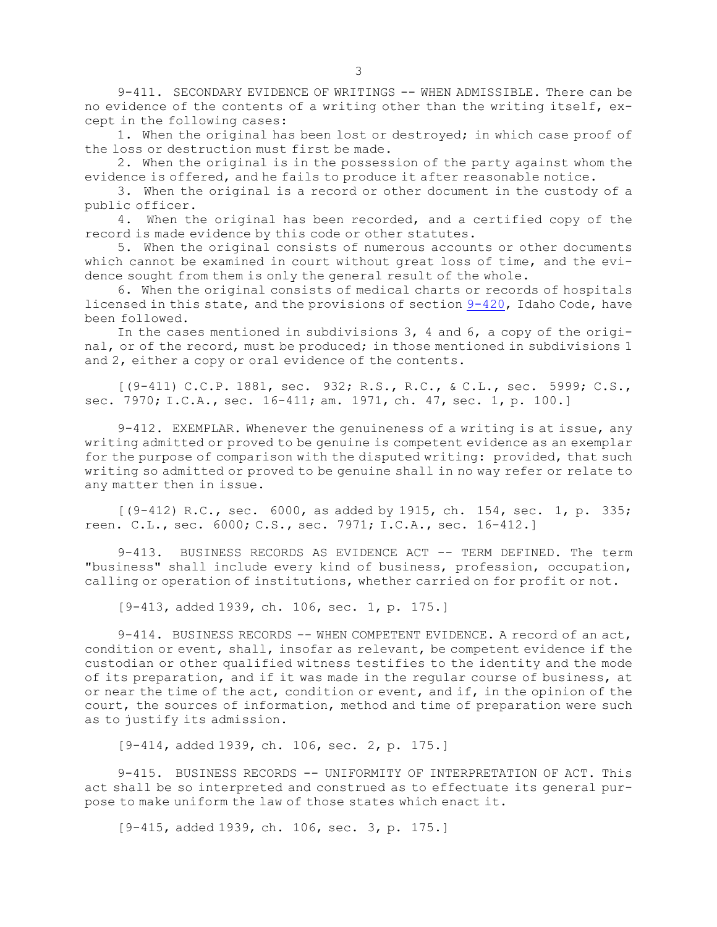9-411. SECONDARY EVIDENCE OF WRITINGS -- WHEN ADMISSIBLE. There can be no evidence of the contents of <sup>a</sup> writing other than the writing itself, except in the following cases:

1. When the original has been lost or destroyed; in which case proof of the loss or destruction must first be made.

2. When the original is in the possession of the party against whom the evidence is offered, and he fails to produce it after reasonable notice.

3. When the original is <sup>a</sup> record or other document in the custody of <sup>a</sup> public officer.

4. When the original has been recorded, and <sup>a</sup> certified copy of the record is made evidence by this code or other statutes.

5. When the original consists of numerous accounts or other documents which cannot be examined in court without great loss of time, and the evidence sought from them is only the general result of the whole.

6. When the original consists of medical charts or records of hospitals licensed in this state, and the provisions of section [9-420](https://legislature.idaho.gov/statutesrules/idstat/Title9/T9CH4/SECT9-420), Idaho Code, have been followed.

In the cases mentioned in subdivisions 3, 4 and 6, <sup>a</sup> copy of the original, or of the record, must be produced; in those mentioned in subdivisions 1 and 2, either <sup>a</sup> copy or oral evidence of the contents.

[(9-411) C.C.P. 1881, sec. 932; R.S., R.C., & C.L., sec. 5999; C.S., sec. 7970; I.C.A., sec. 16-411; am. 1971, ch. 47, sec. 1, p. 100.]

9-412. EXEMPLAR. Whenever the genuineness of <sup>a</sup> writing is at issue, any writing admitted or proved to be genuine is competent evidence as an exemplar for the purpose of comparison with the disputed writing: provided, that such writing so admitted or proved to be genuine shall in no way refer or relate to any matter then in issue.

 $[(9-412)$  R.C., sec. 6000, as added by 1915, ch. 154, sec. 1, p. 335; reen. C.L., sec. 6000; C.S., sec. 7971; I.C.A., sec. 16-412.]

9-413. BUSINESS RECORDS AS EVIDENCE ACT -- TERM DEFINED. The term "business" shall include every kind of business, profession, occupation, calling or operation of institutions, whether carried on for profit or not.

[9-413, added 1939, ch. 106, sec. 1, p. 175.]

9-414. BUSINESS RECORDS -- WHEN COMPETENT EVIDENCE. A record of an act, condition or event, shall, insofar as relevant, be competent evidence if the custodian or other qualified witness testifies to the identity and the mode of its preparation, and if it was made in the regular course of business, at or near the time of the act, condition or event, and if, in the opinion of the court, the sources of information, method and time of preparation were such as to justify its admission.

[9-414, added 1939, ch. 106, sec. 2, p. 175.]

9-415. BUSINESS RECORDS -- UNIFORMITY OF INTERPRETATION OF ACT. This act shall be so interpreted and construed as to effectuate its general purpose to make uniform the law of those states which enact it.

[9-415, added 1939, ch. 106, sec. 3, p. 175.]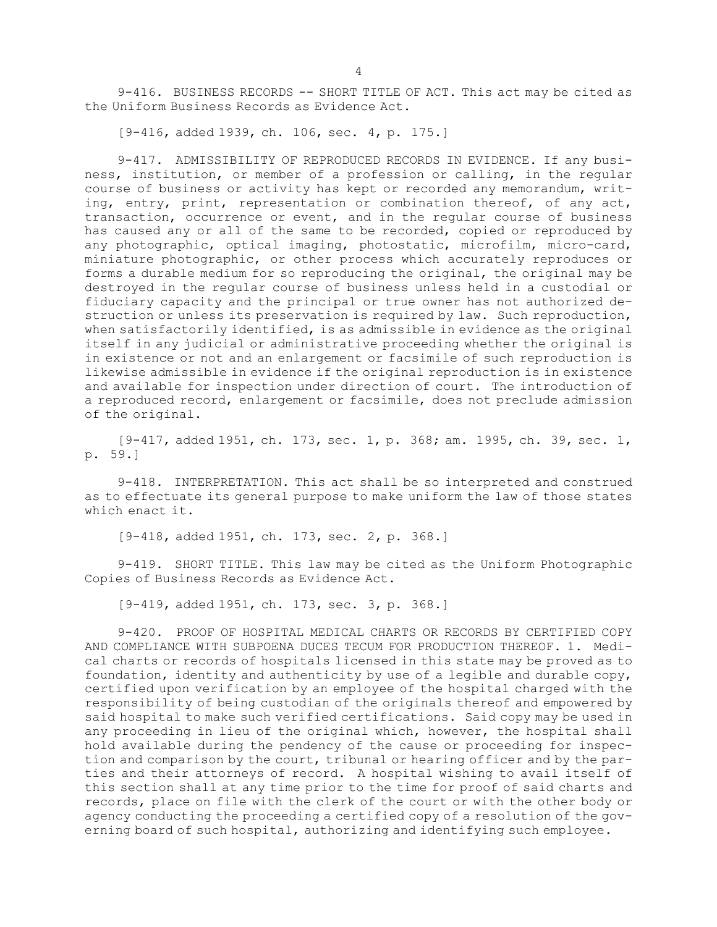9-416. BUSINESS RECORDS -- SHORT TITLE OF ACT. This act may be cited as the Uniform Business Records as Evidence Act.

[9-416, added 1939, ch. 106, sec. 4, p. 175.]

9-417. ADMISSIBILITY OF REPRODUCED RECORDS IN EVIDENCE. If any business, institution, or member of <sup>a</sup> profession or calling, in the regular course of business or activity has kept or recorded any memorandum, writing, entry, print, representation or combination thereof, of any act, transaction, occurrence or event, and in the regular course of business has caused any or all of the same to be recorded, copied or reproduced by any photographic, optical imaging, photostatic, microfilm, micro-card, miniature photographic, or other process which accurately reproduces or forms <sup>a</sup> durable medium for so reproducing the original, the original may be destroyed in the regular course of business unless held in <sup>a</sup> custodial or fiduciary capacity and the principal or true owner has not authorized destruction or unless its preservation is required by law. Such reproduction, when satisfactorily identified, is as admissible in evidence as the original itself in any judicial or administrative proceeding whether the original is in existence or not and an enlargement or facsimile of such reproduction is likewise admissible in evidence if the original reproduction is in existence and available for inspection under direction of court. The introduction of <sup>a</sup> reproduced record, enlargement or facsimile, does not preclude admission of the original.

[9-417, added 1951, ch. 173, sec. 1, p. 368; am. 1995, ch. 39, sec. 1, p. 59.]

9-418. INTERPRETATION. This act shall be so interpreted and construed as to effectuate its general purpose to make uniform the law of those states which enact it.

[9-418, added 1951, ch. 173, sec. 2, p. 368.]

9-419. SHORT TITLE. This law may be cited as the Uniform Photographic Copies of Business Records as Evidence Act.

[9-419, added 1951, ch. 173, sec. 3, p. 368.]

9-420. PROOF OF HOSPITAL MEDICAL CHARTS OR RECORDS BY CERTIFIED COPY AND COMPLIANCE WITH SUBPOENA DUCES TECUM FOR PRODUCTION THEREOF. 1. Medical charts or records of hospitals licensed in this state may be proved as to foundation, identity and authenticity by use of <sup>a</sup> legible and durable copy, certified upon verification by an employee of the hospital charged with the responsibility of being custodian of the originals thereof and empowered by said hospital to make such verified certifications. Said copy may be used in any proceeding in lieu of the original which, however, the hospital shall hold available during the pendency of the cause or proceeding for inspection and comparison by the court, tribunal or hearing officer and by the parties and their attorneys of record. <sup>A</sup> hospital wishing to avail itself of this section shall at any time prior to the time for proof of said charts and records, place on file with the clerk of the court or with the other body or agency conducting the proceeding <sup>a</sup> certified copy of <sup>a</sup> resolution of the governing board of such hospital, authorizing and identifying such employee.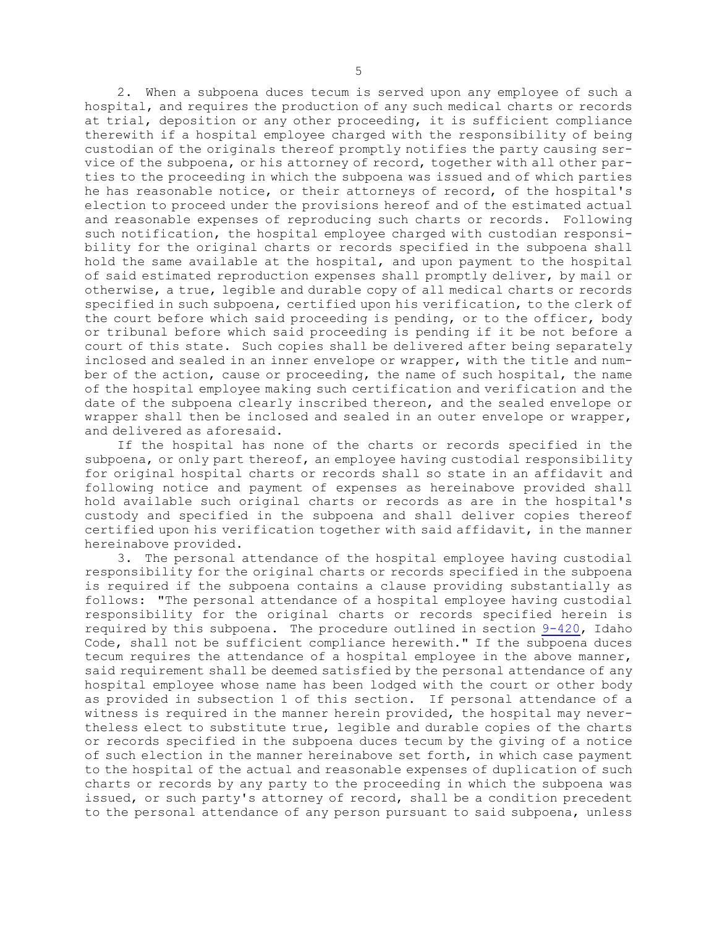2. When <sup>a</sup> subpoena duces tecum is served upon any employee of such <sup>a</sup> hospital, and requires the production of any such medical charts or records at trial, deposition or any other proceeding, it is sufficient compliance therewith if <sup>a</sup> hospital employee charged with the responsibility of being custodian of the originals thereof promptly notifies the party causing service of the subpoena, or his attorney of record, together with all other parties to the proceeding in which the subpoena was issued and of which parties he has reasonable notice, or their attorneys of record, of the hospital's election to proceed under the provisions hereof and of the estimated actual and reasonable expenses of reproducing such charts or records. Following such notification, the hospital employee charged with custodian responsibility for the original charts or records specified in the subpoena shall hold the same available at the hospital, and upon payment to the hospital of said estimated reproduction expenses shall promptly deliver, by mail or otherwise, <sup>a</sup> true, legible and durable copy of all medical charts or records specified in such subpoena, certified upon his verification, to the clerk of the court before which said proceeding is pending, or to the officer, body or tribunal before which said proceeding is pending if it be not before <sup>a</sup> court of this state. Such copies shall be delivered after being separately inclosed and sealed in an inner envelope or wrapper, with the title and number of the action, cause or proceeding, the name of such hospital, the name of the hospital employee making such certification and verification and the date of the subpoena clearly inscribed thereon, and the sealed envelope or wrapper shall then be inclosed and sealed in an outer envelope or wrapper, and delivered as aforesaid.

If the hospital has none of the charts or records specified in the subpoena, or only part thereof, an employee having custodial responsibility for original hospital charts or records shall so state in an affidavit and following notice and payment of expenses as hereinabove provided shall hold available such original charts or records as are in the hospital's custody and specified in the subpoena and shall deliver copies thereof certified upon his verification together with said affidavit, in the manner hereinabove provided.

3. The personal attendance of the hospital employee having custodial responsibility for the original charts or records specified in the subpoena is required if the subpoena contains <sup>a</sup> clause providing substantially as follows: "The personal attendance of <sup>a</sup> hospital employee having custodial responsibility for the original charts or records specified herein is required by this subpoena. The procedure outlined in section [9-420](https://legislature.idaho.gov/statutesrules/idstat/Title9/T9CH4/SECT9-420), Idaho Code, shall not be sufficient compliance herewith." If the subpoena duces tecum requires the attendance of <sup>a</sup> hospital employee in the above manner, said requirement shall be deemed satisfied by the personal attendance of any hospital employee whose name has been lodged with the court or other body as provided in subsection 1 of this section. If personal attendance of <sup>a</sup> witness is required in the manner herein provided, the hospital may nevertheless elect to substitute true, legible and durable copies of the charts or records specified in the subpoena duces tecum by the giving of <sup>a</sup> notice of such election in the manner hereinabove set forth, in which case payment to the hospital of the actual and reasonable expenses of duplication of such charts or records by any party to the proceeding in which the subpoena was issued, or such party's attorney of record, shall be <sup>a</sup> condition precedent to the personal attendance of any person pursuant to said subpoena, unless